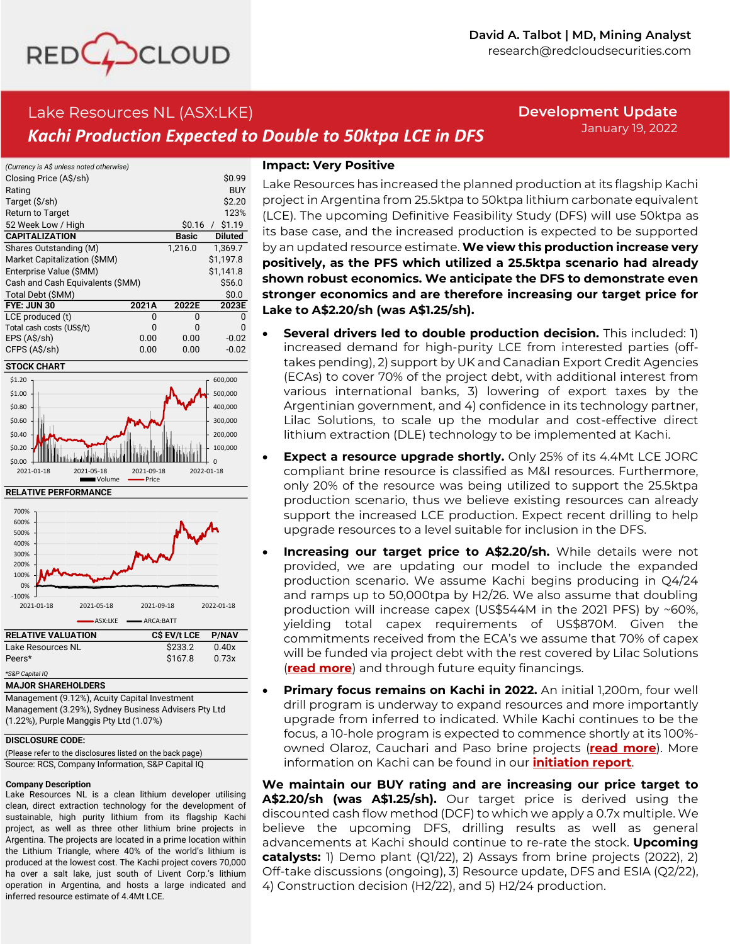

# Lake Resources NL (ASX:LKE) *Kachi Production Expected to Double to 50ktpa LCE in DFS*

**Development Update** January 19, 2022

| (Currency is A\$ unless noted otherwise) |       |              |                |
|------------------------------------------|-------|--------------|----------------|
| Closing Price (A\$/sh)                   |       |              | \$0.99         |
| Rating                                   |       |              | <b>BUY</b>     |
| Target (\$/sh)                           |       |              | \$2.20         |
| <b>Return to Target</b>                  |       |              | 123%           |
| 52 Week Low / High                       |       | \$0.16       | $/$ \$1.19     |
| <b>CAPITALIZATION</b>                    |       | <b>Basic</b> | <b>Diluted</b> |
| Shares Outstanding (M)                   |       | 1,216.0      | 1,369.7        |
| Market Capitalization (\$MM)             |       |              | \$1.197.8      |
| Enterprise Value (\$MM)                  |       |              | \$1.141.8      |
| Cash and Cash Equivalents (\$MM)         |       |              | \$56.0         |
| Total Debt (\$MM)                        |       |              | \$0.0          |
| FYE: JUN 30                              | 2021A | 2022E        | 2023E          |
| LCE produced (t)                         | n     | ŋ            | በ              |
| Total cash costs (US\$/t)                | n     | N            | n              |
| EPS (A\$/sh)                             | 0.00  | 0.00         | $-0.02$        |
| CFPS (A\$/sh)                            | 0.00  | 0.00         | $-0.02$        |

#### **STOCK CHART**



#### **RELATIVE PERFORMANCE**

| 700%                      |            |              |              |
|---------------------------|------------|--------------|--------------|
| 600%                      |            |              |              |
| 500%                      |            |              |              |
| 400%                      |            |              |              |
| 300%                      |            |              |              |
| 200%                      |            |              |              |
| 100%                      |            |              |              |
| 0%                        |            |              |              |
| $-100%$                   |            |              |              |
| 2021-01-18                | 2021-05-18 | 2021-09-18   | 2022-01-18   |
|                           | ASX:LKE    | ARCA:BATT    |              |
| <b>RELATIVE VALUATION</b> |            | C\$ EV/t LCE | <b>P/NAV</b> |
| Lake Resources NL         |            | \$233.2      | 0.40x        |
| Peers*                    |            | \$1678       | 0.73x        |

## *\*S&P Capital IQ*

**MAJOR SHAREHOLDERS**

Management (9.12%), Acuity Capital Investment Management (3.29%), Sydney Business Advisers Pty Ltd (1.22%), Purple Manggis Pty Ltd (1.07%)

#### **DISCLOSURE CODE:**

(Please refer to the disclosures listed on the back page) Source: RCS, Company Information, S&P Capital IQ

#### **Company Description**

Lake Resources NL is <sup>a</sup> clean lithium developer utilising clean, direct extraction technology for the development of sustainable, high purity lithium from its flagship Kachi project, as well as three other lithium brine projects in Argentina. The projects are located in <sup>a</sup> prime location within the Lithium Triangle, where 40% of the world'<sup>s</sup> lithium is produced at the lowest cost. The Kachi project covers 70,000 ha over <sup>a</sup> salt lake, just south of Livent Corp.'<sup>s</sup> lithium operation in Argentina, and hosts <sup>a</sup> large indicated and inferred resource estimate of 4.4Mt LCE.

## **Impact: Very Positive**

Lake Resources has increased the planned production at its flagship Kachi project in Argentina from 25.5ktpa to 50ktpa lithium carbonate equivalent (LCE). The upcoming Definitive Feasibility Study (DFS) will use 50ktpa as its base case, and the increased production is expected to be supported by an updated resource estimate. **We view this production increase very positively, as the PFS which utilized a 25.5ktpa scenario had already shown robust economics. We anticipate the DFS to demonstrate even stronger economics and are therefore increasing our target price for Lake to A\$2.20/sh (was A\$1.25/sh).**

- **Several drivers led to double production decision.** This included: 1) increased demand for high-purity LCE from interested parties (offtakes pending), 2) support by UK and Canadian Export Credit Agencies (ECAs) to cover 70% of the project debt, with additional interest from various international banks, 3) lowering of export taxes by the Argentinian government, and 4) confidence in its technology partner, Lilac Solutions, to scale up the modular and cost-effective direct lithium extraction (DLE) technology to be implemented at Kachi.
- **Expect a resource upgrade shortly.** Only 25% of its 4.4Mt LCE JORC compliant brine resource is classified as M&I resources. Furthermore, only 20% of the resource was being utilized to support the 25.5ktpa production scenario, thus we believe existing resources can already support the increased LCE production. Expect recent drilling to help upgrade resources to a level suitable for inclusion in the DFS.
- **Increasing our target price to A\$2.20/sh.** While details were not provided, we are updating our model to include the expanded production scenario. We assume Kachi begins producing in Q4/24 and ramps up to 50,000tpa by H2/26. We also assume that doubling production will increase capex (US\$544M in the 2021 PFS) by ~60%, yielding total capex requirements of US\$870M. Given the commitments received from the ECA's we assume that 70% of capex will be funded via project debt with the rest covered by Lilac Solutions (**[read more](https://www.redcloudfs.com/lake-resources-nl-asxlke-partnership-agreement-with-lilac-kachi-de-risked-further/)**) and through future equity financings.
- **Primary focus remains on Kachi in 2022.** An initial 1,200m, four well drill program is underway to expand resources and more importantly upgrade from inferred to indicated. While Kachi continues to be the focus, a 10-hole program is expected to commence shortly at its 100% owned Olaroz, Cauchari and Paso brine projects (**[read more](https://www.redcloudfs.com/lake-resources-nl-asxlke-new-drilling-program-at-li-brine-projects-to-help-define-targets/)**). More information on Kachi can be found in our **[initiation report](https://www.redcloudfs.com/lake-resources-nl-asxlke-developing-clean-lithium-for-an-electrified-world/)**.

**We maintain our BUY rating and are increasing our price target to A\$2.20/sh (was A\$1.25/sh).** Our target price is derived using the discounted cash flow method (DCF) to which we apply a 0.7x multiple. We believe the upcoming DFS, drilling results as well as general advancements at Kachi should continue to re-rate the stock. **Upcoming catalysts:** 1) Demo plant (Q1/22), 2) Assays from brine projects (2022), 2) Off-take discussions (ongoing), 3) Resource update, DFS and ESIA (Q2/22), 4) Construction decision (H2/22), and 5) H2/24 production.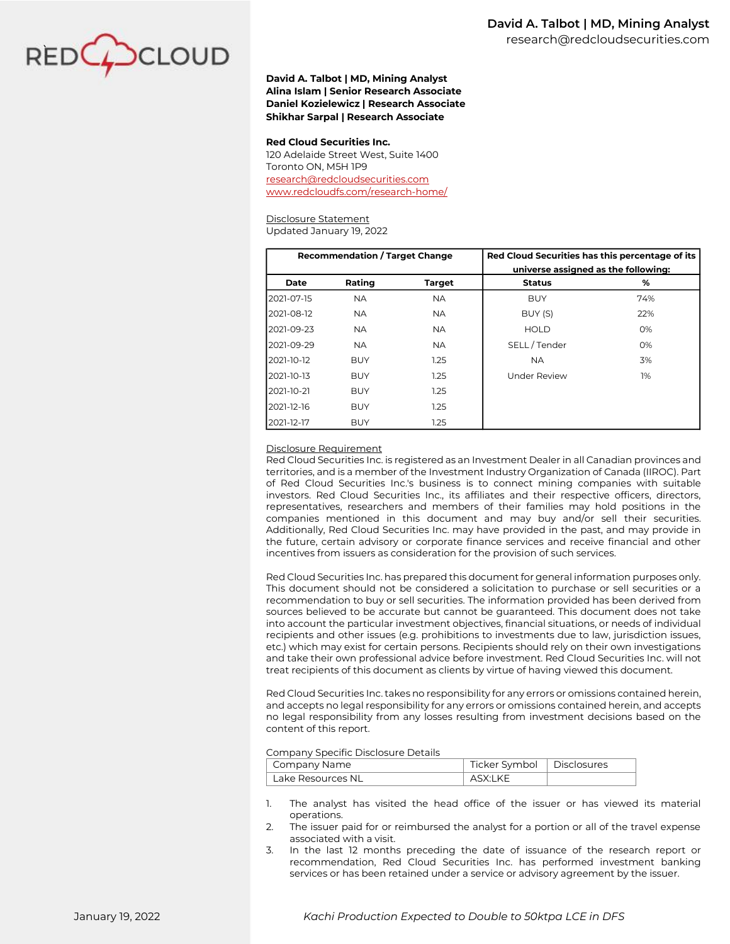

### **David A. Talbot | MD, Mining Analyst Alina Islam | Senior Research Associate Daniel Kozielewicz | Research Associate Shikhar Sarpal | Research Associate**

#### **Red Cloud Securities Inc.**

120 Adelaide Street West, Suite 1400 Toronto ON, M5H 1P9 [research@redcloudsecurities.com](mailto:research@redcloudsecurities.com) [www.redcloudfs.com/research-home/](https://www.redcloudfs.com/research-home/)

#### Disclosure Statement

Updated January 19, 2022

|                                                                                                                                                                                                                                                                                                                                                                                                                                                                                                                                                                                                                                                                                                                                                                                                                                                                                                                                                                                                                                                                                                                                                                                                                                                                                                                                                                                                                                                                                                                                                                                                                                                                                                                                                                                                                                                               | <b>Recommendation / Target Change</b><br>Red Cloud Securities has this percentage of its |               |                                     |  |     |
|---------------------------------------------------------------------------------------------------------------------------------------------------------------------------------------------------------------------------------------------------------------------------------------------------------------------------------------------------------------------------------------------------------------------------------------------------------------------------------------------------------------------------------------------------------------------------------------------------------------------------------------------------------------------------------------------------------------------------------------------------------------------------------------------------------------------------------------------------------------------------------------------------------------------------------------------------------------------------------------------------------------------------------------------------------------------------------------------------------------------------------------------------------------------------------------------------------------------------------------------------------------------------------------------------------------------------------------------------------------------------------------------------------------------------------------------------------------------------------------------------------------------------------------------------------------------------------------------------------------------------------------------------------------------------------------------------------------------------------------------------------------------------------------------------------------------------------------------------------------|------------------------------------------------------------------------------------------|---------------|-------------------------------------|--|-----|
|                                                                                                                                                                                                                                                                                                                                                                                                                                                                                                                                                                                                                                                                                                                                                                                                                                                                                                                                                                                                                                                                                                                                                                                                                                                                                                                                                                                                                                                                                                                                                                                                                                                                                                                                                                                                                                                               |                                                                                          |               | universe assigned as the following: |  |     |
| <b>Date</b>                                                                                                                                                                                                                                                                                                                                                                                                                                                                                                                                                                                                                                                                                                                                                                                                                                                                                                                                                                                                                                                                                                                                                                                                                                                                                                                                                                                                                                                                                                                                                                                                                                                                                                                                                                                                                                                   | Rating                                                                                   | <b>Target</b> | <b>Status</b>                       |  | %   |
| 2021-07-15                                                                                                                                                                                                                                                                                                                                                                                                                                                                                                                                                                                                                                                                                                                                                                                                                                                                                                                                                                                                                                                                                                                                                                                                                                                                                                                                                                                                                                                                                                                                                                                                                                                                                                                                                                                                                                                    | <b>NA</b>                                                                                | <b>NA</b>     | <b>BUY</b>                          |  | 74% |
| 2021-08-12                                                                                                                                                                                                                                                                                                                                                                                                                                                                                                                                                                                                                                                                                                                                                                                                                                                                                                                                                                                                                                                                                                                                                                                                                                                                                                                                                                                                                                                                                                                                                                                                                                                                                                                                                                                                                                                    | <b>NA</b>                                                                                | <b>NA</b>     | BUY (S)                             |  | 22% |
| 2021-09-23                                                                                                                                                                                                                                                                                                                                                                                                                                                                                                                                                                                                                                                                                                                                                                                                                                                                                                                                                                                                                                                                                                                                                                                                                                                                                                                                                                                                                                                                                                                                                                                                                                                                                                                                                                                                                                                    | <b>NA</b>                                                                                | <b>NA</b>     | <b>HOLD</b>                         |  | 0%  |
| 2021-09-29                                                                                                                                                                                                                                                                                                                                                                                                                                                                                                                                                                                                                                                                                                                                                                                                                                                                                                                                                                                                                                                                                                                                                                                                                                                                                                                                                                                                                                                                                                                                                                                                                                                                                                                                                                                                                                                    | <b>NA</b>                                                                                | <b>NA</b>     | SELL/Tender                         |  | 0%  |
| 2021-10-12                                                                                                                                                                                                                                                                                                                                                                                                                                                                                                                                                                                                                                                                                                                                                                                                                                                                                                                                                                                                                                                                                                                                                                                                                                                                                                                                                                                                                                                                                                                                                                                                                                                                                                                                                                                                                                                    | <b>BUY</b>                                                                               | 1.25          | <b>NA</b>                           |  | 3%  |
| 2021-10-13                                                                                                                                                                                                                                                                                                                                                                                                                                                                                                                                                                                                                                                                                                                                                                                                                                                                                                                                                                                                                                                                                                                                                                                                                                                                                                                                                                                                                                                                                                                                                                                                                                                                                                                                                                                                                                                    | <b>BUY</b>                                                                               | 1.25          | <b>Under Review</b>                 |  | 1%  |
| 2021-10-21                                                                                                                                                                                                                                                                                                                                                                                                                                                                                                                                                                                                                                                                                                                                                                                                                                                                                                                                                                                                                                                                                                                                                                                                                                                                                                                                                                                                                                                                                                                                                                                                                                                                                                                                                                                                                                                    | <b>BUY</b>                                                                               | 1.25          |                                     |  |     |
| 2021-12-16                                                                                                                                                                                                                                                                                                                                                                                                                                                                                                                                                                                                                                                                                                                                                                                                                                                                                                                                                                                                                                                                                                                                                                                                                                                                                                                                                                                                                                                                                                                                                                                                                                                                                                                                                                                                                                                    | <b>BUY</b>                                                                               | 1.25          |                                     |  |     |
| 2021-12-17                                                                                                                                                                                                                                                                                                                                                                                                                                                                                                                                                                                                                                                                                                                                                                                                                                                                                                                                                                                                                                                                                                                                                                                                                                                                                                                                                                                                                                                                                                                                                                                                                                                                                                                                                                                                                                                    | <b>BUY</b>                                                                               | 1.25          |                                     |  |     |
| investors. Red Cloud Securities Inc., its affiliates and their respective officers, directors,<br>representatives, researchers and members of their families may hold positions in the<br>companies mentioned in this document and may buy and/or sell their securities.<br>Additionally, Red Cloud Securities Inc. may have provided in the past, and may provide in<br>the future, certain advisory or corporate finance services and receive financial and other<br>incentives from issuers as consideration for the provision of such services.<br>Red Cloud Securities Inc. has prepared this document for general information purposes only.<br>This document should not be considered a solicitation to purchase or sell securities or a<br>recommendation to buy or sell securities. The information provided has been derived from<br>sources believed to be accurate but cannot be guaranteed. This document does not take<br>into account the particular investment objectives, financial situations, or needs of individual<br>recipients and other issues (e.g. prohibitions to investments due to law, jurisdiction issues,<br>etc.) which may exist for certain persons. Recipients should rely on their own investigations<br>and take their own professional advice before investment. Red Cloud Securities Inc. will not<br>treat recipients of this document as clients by virtue of having viewed this document.<br>Red Cloud Securities Inc. takes no responsibility for any errors or omissions contained herein,<br>and accepts no legal responsibility for any errors or omissions contained herein, and accepts<br>no legal responsibility from any losses resulting from investment decisions based on the<br>content of this report.<br>Company Specific Disclosure Details<br>Company Name<br>Ticker Symbol<br><b>Disclosures</b> |                                                                                          |               |                                     |  |     |
| Lake Resources NI                                                                                                                                                                                                                                                                                                                                                                                                                                                                                                                                                                                                                                                                                                                                                                                                                                                                                                                                                                                                                                                                                                                                                                                                                                                                                                                                                                                                                                                                                                                                                                                                                                                                                                                                                                                                                                             |                                                                                          |               | ASX:LKE                             |  |     |
| 1.<br>The analyst has visited the head office of the issuer or has viewed its material<br>operations.<br>The issuer paid for or reimbursed the analyst for a portion or all of the travel expense<br>2.<br>associated with a visit.<br>In the last 12 months preceding the date of issuance of the research report or<br>3.<br>recommendation, Red Cloud Securities Inc. has performed investment banking<br>services or has been retained under a service or advisory agreement by the issuer.                                                                                                                                                                                                                                                                                                                                                                                                                                                                                                                                                                                                                                                                                                                                                                                                                                                                                                                                                                                                                                                                                                                                                                                                                                                                                                                                                               |                                                                                          |               |                                     |  |     |

#### Disclosure Requirement

#### Company Specific Disclosure Details

| Company Name      | Ticker Symbol   Disclosures |  |  |  |
|-------------------|-----------------------------|--|--|--|
| Lake Resources NL | ASX:I KF                    |  |  |  |

- 1. The analyst has visited the head office of the issuer or has viewed its material operations.
- 2. The issuer paid for or reimbursed the analyst for a portion or all of the travel expense associated with a visit.
- 3. In the last 12 months preceding the date of issuance of the research report or recommendation, Red Cloud Securities Inc. has performed investment banking